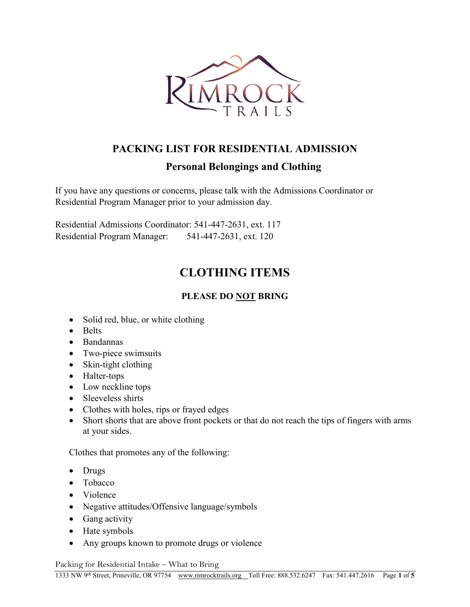

# **PACKING LIST FOR RESIDENTIAL ADMISSION**

## **Personal Belongings and Clothing**

If you have any questions or concerns, please talk with the Admissions Coordinator or Residential Program Manager prior to your admission day.

Residential Admissions Coordinator: 541-447-2631, ext. 117 Residential Program Manager: 541-447-2631, ext. 120

# **CLOTHING ITEMS**

### **PLEASE DO NOT BRING**

- Solid red, blue, or white clothing
- Belts
- Bandannas
- Two-piece swimsuits
- Skin-tight clothing
- Halter-tops
- Low neckline tops
- Sleeveless shirts
- Clothes with holes, rips or frayed edges
- Short shorts that are above front pockets or that do not reach the tips of fingers with arms at your sides.

Clothes that promotes any of the following:

- Drugs
- Tobacco
- Violence
- Negative attitudes/Offensive language/symbols
- Gang activity
- Hate symbols
- Any groups known to promote drugs or violence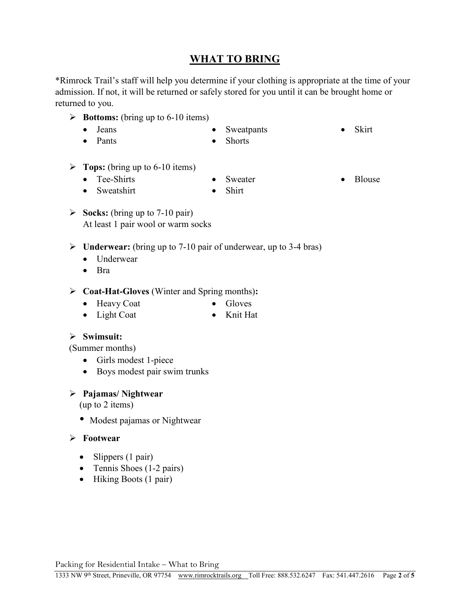## **WHAT TO BRING**

\*Rimrock Trail's staff will help you determine if your clothing is appropriate at the time of your admission. If not, it will be returned or safely stored for you until it can be brought home or returned to you.

- $\triangleright$  **Bottoms:** (bring up to 6-10 items)
	- Jeans
	- Pants

 Sweatpants • Shorts

• Skirt

- **Tops:** (bring up to 6-10 items)
	- Tee-Shirts
	- Sweatshirt

• Sweater • Shirt

• Blouse

- **Socks:** (bring up to 7-10 pair) At least 1 pair wool or warm socks
- **Underwear:** (bring up to 7-10 pair of underwear, up to 3-4 bras)
	- Underwear
	- $\bullet$  Bra

### **Coat-Hat-Gloves** (Winter and Spring months)**:**

• Heavy Coat

- Gloves
- Light Coat Knit Hat

### **Swimsuit:**

(Summer months)

- Girls modest 1-piece
- Boys modest pair swim trunks

### **Pajamas/ Nightwear**

(up to 2 items)

• Modest pajamas or Nightwear

### **Footwear**

- $\bullet$  Slippers (1 pair)
- Tennis Shoes (1-2 pairs)
- Hiking Boots (1 pair)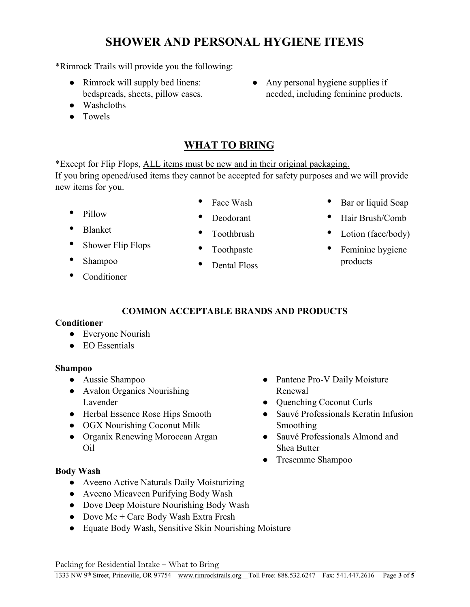# **SHOWER AND PERSONAL HYGIENE ITEMS**

\*Rimrock Trails will provide you the following:

- Rimrock will supply bed linens: bedspreads, sheets, pillow cases.
- Washcloths
- Towels

# **WHAT TO BRING**

\*Except for Flip Flops, ALL items must be new and in their original packaging. If you bring opened/used items they cannot be accepted for safety purposes and we will provide new items for you.

- Pillow
- Blanket
- Shower Flip Flops
- Shampoo
- **Conditioner**

• Dental Floss

• Any personal hygiene supplies if needed, including feminine products.

- Bar or liquid Soap
- Hair Brush/Comb
- Lotion (face/body)
- Feminine hygiene products
- **COMMON ACCEPTABLE BRANDS AND PRODUCTS**

### **Conditioner**

- Everyone Nourish
- EO Essentials

### **Shampoo**

- Aussie Shampoo
- Avalon Organics Nourishing Lavender
- Herbal Essence Rose Hips Smooth
- OGX Nourishing Coconut Milk
- Organix Renewing Moroccan Argan Oil
- Pantene Pro-V Daily Moisture Renewal
- Quenching Coconut Curls
- Sauvé Professionals Keratin Infusion Smoothing
- Sauvé Professionals Almond and Shea Butter
- Tresemme Shampoo
- **Body Wash**
	- Aveeno Active Naturals Daily Moisturizing
	- Aveeno Micaveen Purifying Body Wash
	- Dove Deep Moisture Nourishing Body Wash
	- Dove Me + Care Body Wash Extra Fresh
	- Equate Body Wash, Sensitive Skin Nourishing Moisture

- Deodorant • Toothbrush
- Toothpaste
- 
- Face Wash

- 
- 
-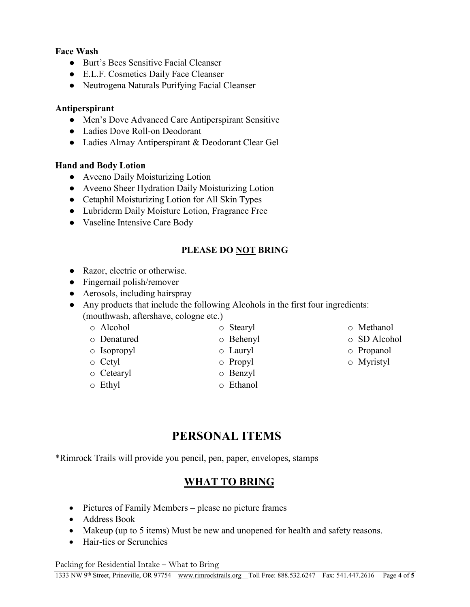#### **Face Wash**

- Burt's Bees Sensitive Facial Cleanser
- E.L.F. Cosmetics Daily Face Cleanser
- Neutrogena Naturals Purifying Facial Cleanser

### **Antiperspirant**

- Men's Dove Advanced Care Antiperspirant Sensitive
- Ladies Dove Roll-on Deodorant
- Ladies Almay Antiperspirant & Deodorant Clear Gel

#### **Hand and Body Lotion**

- Aveeno Daily Moisturizing Lotion
- Aveeno Sheer Hydration Daily Moisturizing Lotion
- Cetaphil Moisturizing Lotion for All Skin Types
- Lubriderm Daily Moisture Lotion, Fragrance Free
- Vaseline Intensive Care Body

### **PLEASE DO NOT BRING**

o Methanol o SD Alcohol o Propanol o Myristyl

- Razor, electric or otherwise.
- Fingernail polish/remover
- Aerosols, including hairspray

● Any products that include the following Alcohols in the first four ingredients: (mouthwash, aftershave, cologne etc.)

| ○ Alcohol         | $\circ$ Stearyl |
|-------------------|-----------------|
| ○ Denatured       | $\circ$ Behenyl |
| $\circ$ Isopropyl | $\circ$ Lauryl  |
| $\circ$ Cetyl     | $\circ$ Propyl  |
| $\circ$ Cetearyl  | $\circ$ Benzyl  |

o Ethyl o Ethanol

## **PERSONAL ITEMS**

\*Rimrock Trails will provide you pencil, pen, paper, envelopes, stamps

### **WHAT TO BRING**

- Pictures of Family Members please no picture frames
- Address Book
- Makeup (up to 5 items) Must be new and unopened for health and safety reasons.
- Hair-ties or Scrunchies